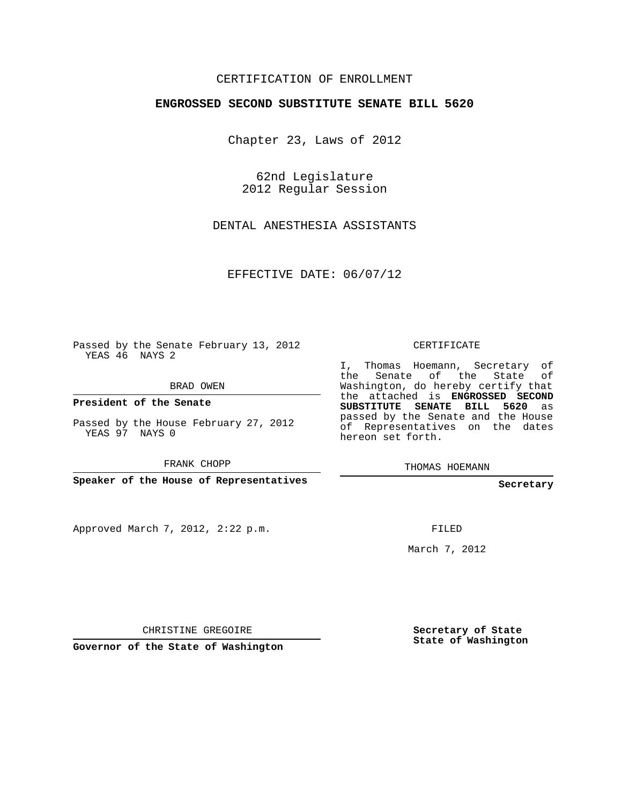## CERTIFICATION OF ENROLLMENT

## **ENGROSSED SECOND SUBSTITUTE SENATE BILL 5620**

Chapter 23, Laws of 2012

62nd Legislature 2012 Regular Session

DENTAL ANESTHESIA ASSISTANTS

EFFECTIVE DATE: 06/07/12

Passed by the Senate February 13, 2012 YEAS 46 NAYS 2

**President of the Senate**

YEAS 97 NAYS 0

FRANK CHOPP

Approved March 7, 2012, 2:22 p.m.

CERTIFICATE

I, Thomas Hoemann, Secretary of the Senate of the State of Washington, do hereby certify that the attached is **ENGROSSED SECOND SUBSTITUTE SENATE BILL 5620** as passed by the Senate and the House of Representatives on the dates hereon set forth.

THOMAS HOEMANN

**Secretary**

FILED

March 7, 2012

CHRISTINE GREGOIRE

**Secretary of State State of Washington**

**Governor of the State of Washington**

BRAD OWEN

Passed by the House February 27, 2012

**Speaker of the House of Representatives**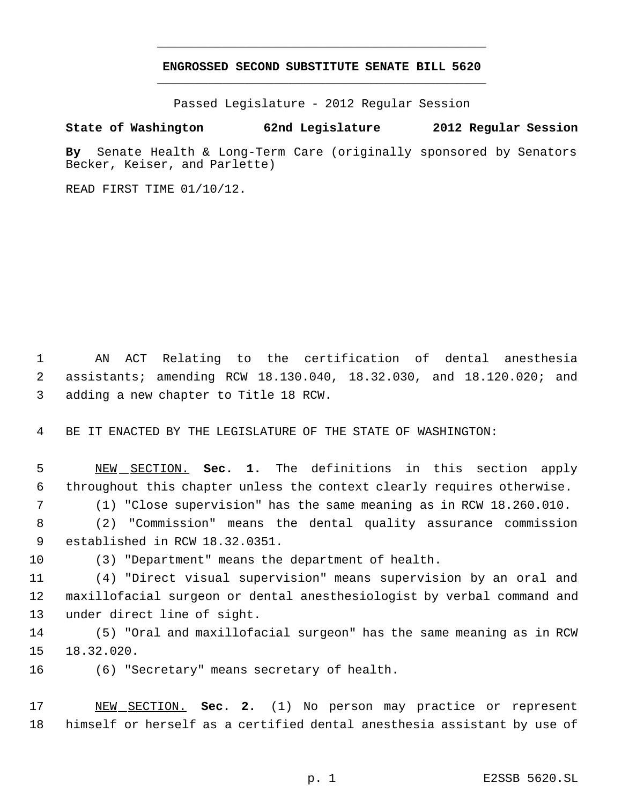## **ENGROSSED SECOND SUBSTITUTE SENATE BILL 5620** \_\_\_\_\_\_\_\_\_\_\_\_\_\_\_\_\_\_\_\_\_\_\_\_\_\_\_\_\_\_\_\_\_\_\_\_\_\_\_\_\_\_\_\_\_

\_\_\_\_\_\_\_\_\_\_\_\_\_\_\_\_\_\_\_\_\_\_\_\_\_\_\_\_\_\_\_\_\_\_\_\_\_\_\_\_\_\_\_\_\_

Passed Legislature - 2012 Regular Session

## **State of Washington 62nd Legislature 2012 Regular Session**

**By** Senate Health & Long-Term Care (originally sponsored by Senators Becker, Keiser, and Parlette)

READ FIRST TIME 01/10/12.

 AN ACT Relating to the certification of dental anesthesia assistants; amending RCW 18.130.040, 18.32.030, and 18.120.020; and adding a new chapter to Title 18 RCW.

BE IT ENACTED BY THE LEGISLATURE OF THE STATE OF WASHINGTON:

 NEW SECTION. **Sec. 1.** The definitions in this section apply throughout this chapter unless the context clearly requires otherwise.

(1) "Close supervision" has the same meaning as in RCW 18.260.010.

 (2) "Commission" means the dental quality assurance commission established in RCW 18.32.0351.

(3) "Department" means the department of health.

 (4) "Direct visual supervision" means supervision by an oral and maxillofacial surgeon or dental anesthesiologist by verbal command and under direct line of sight.

 (5) "Oral and maxillofacial surgeon" has the same meaning as in RCW 18.32.020.

(6) "Secretary" means secretary of health.

 NEW SECTION. **Sec. 2.** (1) No person may practice or represent himself or herself as a certified dental anesthesia assistant by use of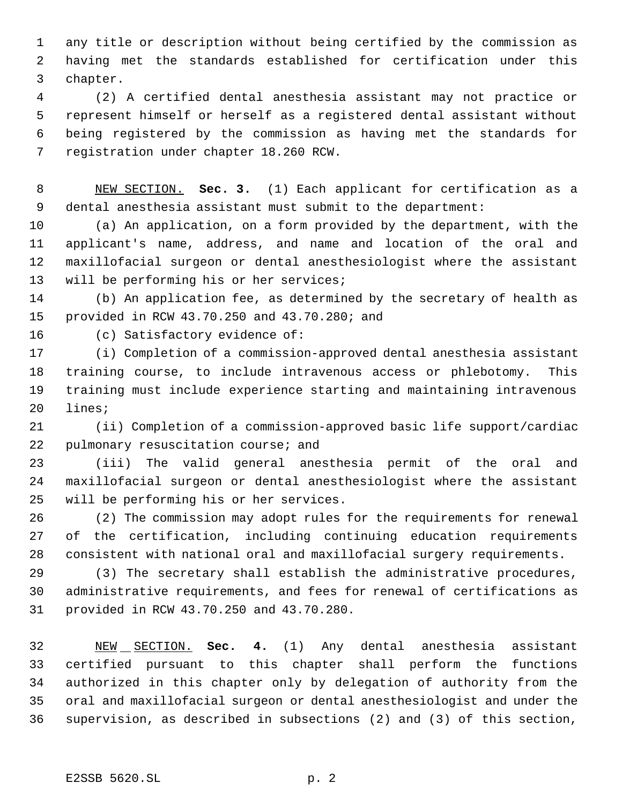any title or description without being certified by the commission as having met the standards established for certification under this chapter.

 (2) A certified dental anesthesia assistant may not practice or represent himself or herself as a registered dental assistant without being registered by the commission as having met the standards for registration under chapter 18.260 RCW.

 NEW SECTION. **Sec. 3.** (1) Each applicant for certification as a dental anesthesia assistant must submit to the department:

 (a) An application, on a form provided by the department, with the applicant's name, address, and name and location of the oral and maxillofacial surgeon or dental anesthesiologist where the assistant will be performing his or her services;

 (b) An application fee, as determined by the secretary of health as provided in RCW 43.70.250 and 43.70.280; and

(c) Satisfactory evidence of:

 (i) Completion of a commission-approved dental anesthesia assistant training course, to include intravenous access or phlebotomy. This training must include experience starting and maintaining intravenous lines;

 (ii) Completion of a commission-approved basic life support/cardiac pulmonary resuscitation course; and

 (iii) The valid general anesthesia permit of the oral and maxillofacial surgeon or dental anesthesiologist where the assistant will be performing his or her services.

 (2) The commission may adopt rules for the requirements for renewal of the certification, including continuing education requirements consistent with national oral and maxillofacial surgery requirements.

 (3) The secretary shall establish the administrative procedures, administrative requirements, and fees for renewal of certifications as provided in RCW 43.70.250 and 43.70.280.

 NEW SECTION. **Sec. 4.** (1) Any dental anesthesia assistant certified pursuant to this chapter shall perform the functions authorized in this chapter only by delegation of authority from the oral and maxillofacial surgeon or dental anesthesiologist and under the supervision, as described in subsections (2) and (3) of this section,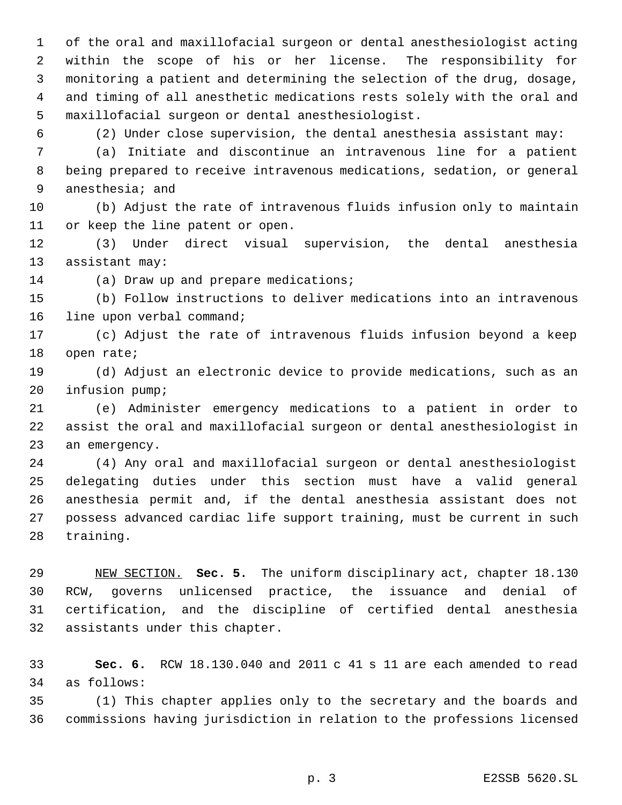of the oral and maxillofacial surgeon or dental anesthesiologist acting within the scope of his or her license. The responsibility for monitoring a patient and determining the selection of the drug, dosage, and timing of all anesthetic medications rests solely with the oral and maxillofacial surgeon or dental anesthesiologist.

(2) Under close supervision, the dental anesthesia assistant may:

 (a) Initiate and discontinue an intravenous line for a patient being prepared to receive intravenous medications, sedation, or general anesthesia; and

 (b) Adjust the rate of intravenous fluids infusion only to maintain or keep the line patent or open.

 (3) Under direct visual supervision, the dental anesthesia assistant may:

(a) Draw up and prepare medications;

 (b) Follow instructions to deliver medications into an intravenous line upon verbal command;

 (c) Adjust the rate of intravenous fluids infusion beyond a keep open rate;

 (d) Adjust an electronic device to provide medications, such as an infusion pump;

 (e) Administer emergency medications to a patient in order to assist the oral and maxillofacial surgeon or dental anesthesiologist in an emergency.

 (4) Any oral and maxillofacial surgeon or dental anesthesiologist delegating duties under this section must have a valid general anesthesia permit and, if the dental anesthesia assistant does not possess advanced cardiac life support training, must be current in such training.

 NEW SECTION. **Sec. 5.** The uniform disciplinary act, chapter 18.130 RCW, governs unlicensed practice, the issuance and denial of certification, and the discipline of certified dental anesthesia assistants under this chapter.

 **Sec. 6.** RCW 18.130.040 and 2011 c 41 s 11 are each amended to read as follows:

 (1) This chapter applies only to the secretary and the boards and commissions having jurisdiction in relation to the professions licensed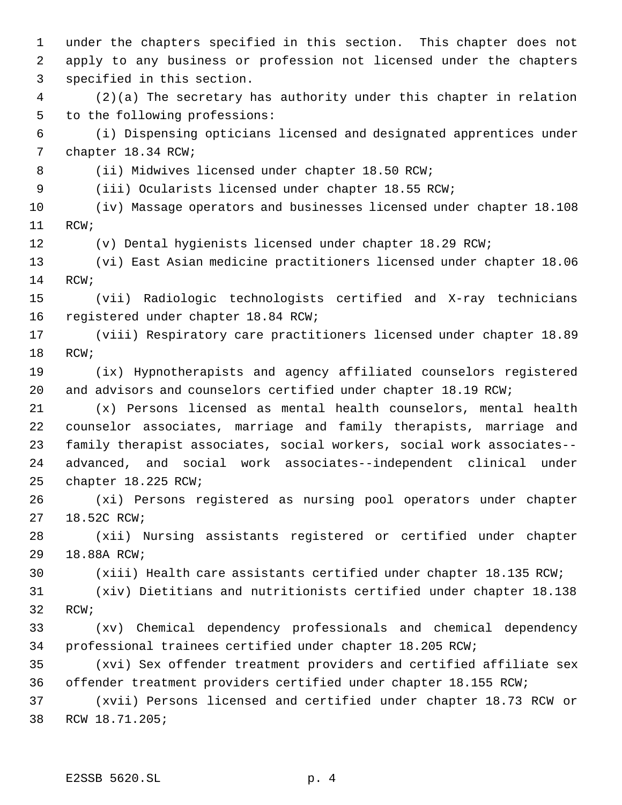under the chapters specified in this section. This chapter does not apply to any business or profession not licensed under the chapters specified in this section. (2)(a) The secretary has authority under this chapter in relation to the following professions: (i) Dispensing opticians licensed and designated apprentices under chapter 18.34 RCW; 8 (ii) Midwives licensed under chapter 18.50 RCW; (iii) Ocularists licensed under chapter 18.55 RCW; (iv) Massage operators and businesses licensed under chapter 18.108 RCW; (v) Dental hygienists licensed under chapter 18.29 RCW; (vi) East Asian medicine practitioners licensed under chapter 18.06 RCW; (vii) Radiologic technologists certified and X-ray technicians registered under chapter 18.84 RCW; (viii) Respiratory care practitioners licensed under chapter 18.89 RCW; (ix) Hypnotherapists and agency affiliated counselors registered and advisors and counselors certified under chapter 18.19 RCW; (x) Persons licensed as mental health counselors, mental health counselor associates, marriage and family therapists, marriage and family therapist associates, social workers, social work associates-- advanced, and social work associates--independent clinical under chapter 18.225 RCW; (xi) Persons registered as nursing pool operators under chapter 18.52C RCW; (xii) Nursing assistants registered or certified under chapter 18.88A RCW; (xiii) Health care assistants certified under chapter 18.135 RCW; (xiv) Dietitians and nutritionists certified under chapter 18.138 RCW; (xv) Chemical dependency professionals and chemical dependency professional trainees certified under chapter 18.205 RCW; (xvi) Sex offender treatment providers and certified affiliate sex offender treatment providers certified under chapter 18.155 RCW; (xvii) Persons licensed and certified under chapter 18.73 RCW or RCW 18.71.205;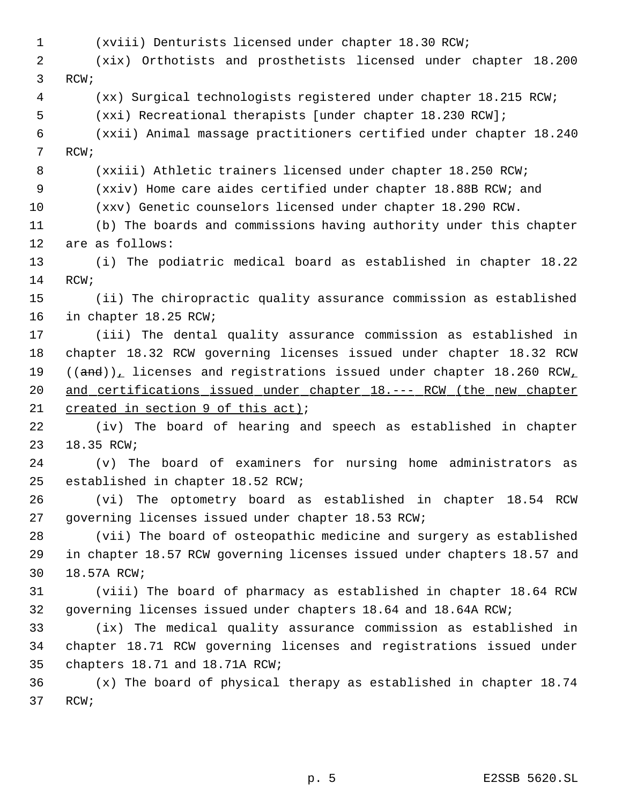(xviii) Denturists licensed under chapter 18.30 RCW; (xix) Orthotists and prosthetists licensed under chapter 18.200 RCW; (xx) Surgical technologists registered under chapter 18.215 RCW; (xxi) Recreational therapists [under chapter 18.230 RCW]; (xxii) Animal massage practitioners certified under chapter 18.240 RCW; (xxiii) Athletic trainers licensed under chapter 18.250 RCW; (xxiv) Home care aides certified under chapter 18.88B RCW; and (xxv) Genetic counselors licensed under chapter 18.290 RCW. (b) The boards and commissions having authority under this chapter are as follows: (i) The podiatric medical board as established in chapter 18.22 RCW; (ii) The chiropractic quality assurance commission as established in chapter 18.25 RCW; (iii) The dental quality assurance commission as established in chapter 18.32 RCW governing licenses issued under chapter 18.32 RCW  $((and))_+$  licenses and registrations issued under chapter 18.260 RCW<sub>1</sub> 20 and certifications issued under chapter 18.--- RCW (the new chapter 21 created in section 9 of this act); (iv) The board of hearing and speech as established in chapter 18.35 RCW; (v) The board of examiners for nursing home administrators as established in chapter 18.52 RCW; (vi) The optometry board as established in chapter 18.54 RCW governing licenses issued under chapter 18.53 RCW; (vii) The board of osteopathic medicine and surgery as established in chapter 18.57 RCW governing licenses issued under chapters 18.57 and 18.57A RCW; (viii) The board of pharmacy as established in chapter 18.64 RCW governing licenses issued under chapters 18.64 and 18.64A RCW; (ix) The medical quality assurance commission as established in chapter 18.71 RCW governing licenses and registrations issued under chapters 18.71 and 18.71A RCW; (x) The board of physical therapy as established in chapter 18.74 RCW;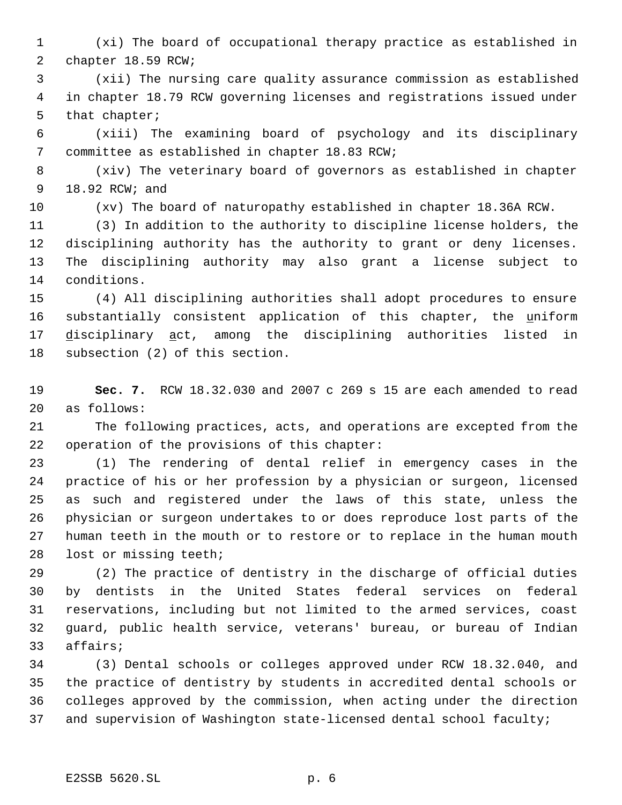- (xi) The board of occupational therapy practice as established in chapter 18.59 RCW;
- (xii) The nursing care quality assurance commission as established in chapter 18.79 RCW governing licenses and registrations issued under that chapter;
- (xiii) The examining board of psychology and its disciplinary committee as established in chapter 18.83 RCW;
- (xiv) The veterinary board of governors as established in chapter 18.92 RCW; and
- 

(xv) The board of naturopathy established in chapter 18.36A RCW.

 (3) In addition to the authority to discipline license holders, the disciplining authority has the authority to grant or deny licenses. The disciplining authority may also grant a license subject to conditions.

 (4) All disciplining authorities shall adopt procedures to ensure substantially consistent application of this chapter, the uniform 17 disciplinary act, among the disciplining authorities listed in subsection (2) of this section.

- **Sec. 7.** RCW 18.32.030 and 2007 c 269 s 15 are each amended to read as follows:
- The following practices, acts, and operations are excepted from the operation of the provisions of this chapter:

 (1) The rendering of dental relief in emergency cases in the practice of his or her profession by a physician or surgeon, licensed as such and registered under the laws of this state, unless the physician or surgeon undertakes to or does reproduce lost parts of the human teeth in the mouth or to restore or to replace in the human mouth lost or missing teeth;

 (2) The practice of dentistry in the discharge of official duties by dentists in the United States federal services on federal reservations, including but not limited to the armed services, coast guard, public health service, veterans' bureau, or bureau of Indian affairs;

 (3) Dental schools or colleges approved under RCW 18.32.040, and the practice of dentistry by students in accredited dental schools or colleges approved by the commission, when acting under the direction and supervision of Washington state-licensed dental school faculty;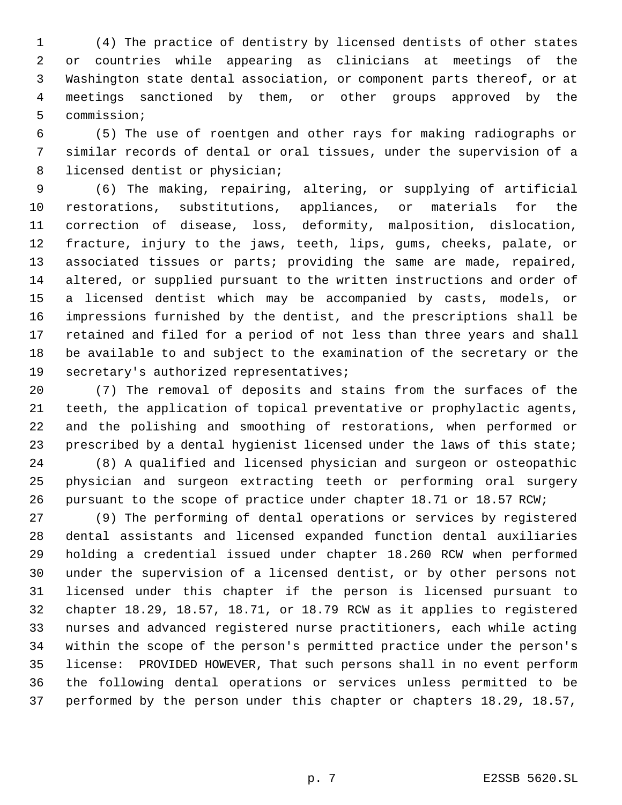(4) The practice of dentistry by licensed dentists of other states or countries while appearing as clinicians at meetings of the Washington state dental association, or component parts thereof, or at meetings sanctioned by them, or other groups approved by the commission;

 (5) The use of roentgen and other rays for making radiographs or similar records of dental or oral tissues, under the supervision of a licensed dentist or physician;

 (6) The making, repairing, altering, or supplying of artificial restorations, substitutions, appliances, or materials for the correction of disease, loss, deformity, malposition, dislocation, fracture, injury to the jaws, teeth, lips, gums, cheeks, palate, or associated tissues or parts; providing the same are made, repaired, altered, or supplied pursuant to the written instructions and order of a licensed dentist which may be accompanied by casts, models, or impressions furnished by the dentist, and the prescriptions shall be retained and filed for a period of not less than three years and shall be available to and subject to the examination of the secretary or the secretary's authorized representatives;

 (7) The removal of deposits and stains from the surfaces of the teeth, the application of topical preventative or prophylactic agents, and the polishing and smoothing of restorations, when performed or 23 prescribed by a dental hygienist licensed under the laws of this state;

 (8) A qualified and licensed physician and surgeon or osteopathic physician and surgeon extracting teeth or performing oral surgery pursuant to the scope of practice under chapter 18.71 or 18.57 RCW;

 (9) The performing of dental operations or services by registered dental assistants and licensed expanded function dental auxiliaries holding a credential issued under chapter 18.260 RCW when performed under the supervision of a licensed dentist, or by other persons not licensed under this chapter if the person is licensed pursuant to chapter 18.29, 18.57, 18.71, or 18.79 RCW as it applies to registered nurses and advanced registered nurse practitioners, each while acting within the scope of the person's permitted practice under the person's license: PROVIDED HOWEVER, That such persons shall in no event perform the following dental operations or services unless permitted to be performed by the person under this chapter or chapters 18.29, 18.57,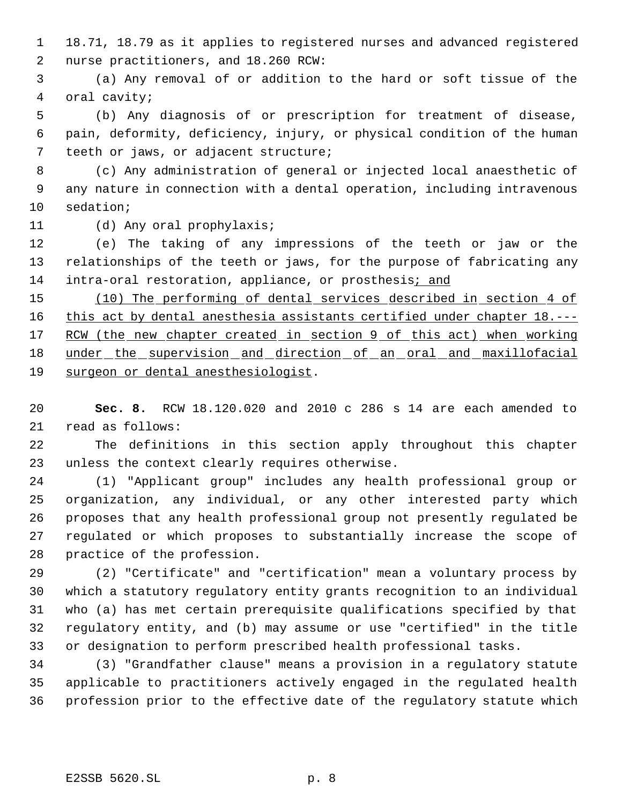18.71, 18.79 as it applies to registered nurses and advanced registered nurse practitioners, and 18.260 RCW:

 (a) Any removal of or addition to the hard or soft tissue of the oral cavity;

 (b) Any diagnosis of or prescription for treatment of disease, pain, deformity, deficiency, injury, or physical condition of the human teeth or jaws, or adjacent structure;

 (c) Any administration of general or injected local anaesthetic of any nature in connection with a dental operation, including intravenous sedation;

(d) Any oral prophylaxis;

 (e) The taking of any impressions of the teeth or jaw or the relationships of the teeth or jaws, for the purpose of fabricating any 14 intra-oral restoration, appliance, or prosthesis; and

 (10) The performing of dental services described in section 4 of 16 this act by dental anesthesia assistants certified under chapter 18.---17 RCW (the new chapter created in section 9 of this act) when working 18 under the supervision and direction of an oral and maxillofacial surgeon or dental anesthesiologist.

 **Sec. 8.** RCW 18.120.020 and 2010 c 286 s 14 are each amended to read as follows:

 The definitions in this section apply throughout this chapter unless the context clearly requires otherwise.

 (1) "Applicant group" includes any health professional group or organization, any individual, or any other interested party which proposes that any health professional group not presently regulated be regulated or which proposes to substantially increase the scope of practice of the profession.

 (2) "Certificate" and "certification" mean a voluntary process by which a statutory regulatory entity grants recognition to an individual who (a) has met certain prerequisite qualifications specified by that regulatory entity, and (b) may assume or use "certified" in the title or designation to perform prescribed health professional tasks.

 (3) "Grandfather clause" means a provision in a regulatory statute applicable to practitioners actively engaged in the regulated health profession prior to the effective date of the regulatory statute which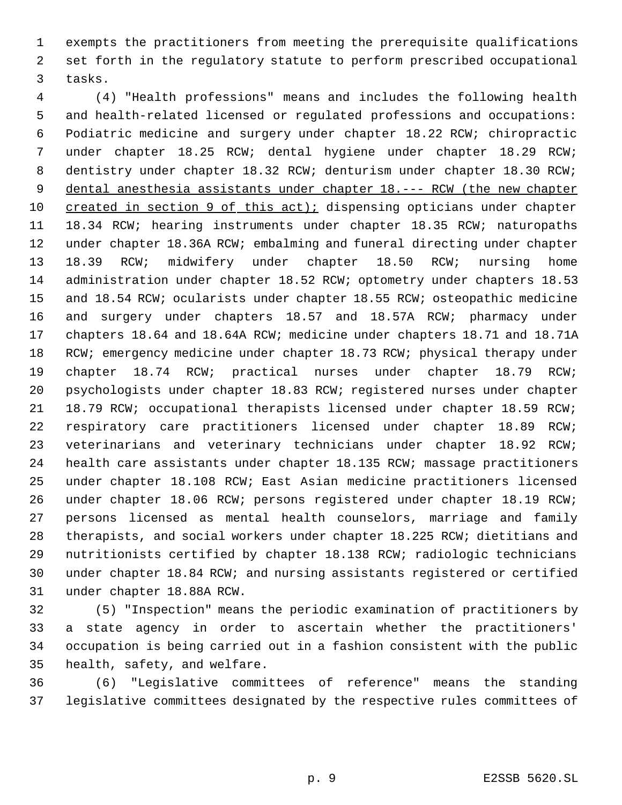exempts the practitioners from meeting the prerequisite qualifications set forth in the regulatory statute to perform prescribed occupational tasks.

 (4) "Health professions" means and includes the following health and health-related licensed or regulated professions and occupations: Podiatric medicine and surgery under chapter 18.22 RCW; chiropractic under chapter 18.25 RCW; dental hygiene under chapter 18.29 RCW; dentistry under chapter 18.32 RCW; denturism under chapter 18.30 RCW; 9 dental anesthesia assistants under chapter 18.--- RCW (the new chapter 10 created in section 9 of this act); dispensing opticians under chapter 18.34 RCW; hearing instruments under chapter 18.35 RCW; naturopaths under chapter 18.36A RCW; embalming and funeral directing under chapter 18.39 RCW; midwifery under chapter 18.50 RCW; nursing home administration under chapter 18.52 RCW; optometry under chapters 18.53 and 18.54 RCW; ocularists under chapter 18.55 RCW; osteopathic medicine and surgery under chapters 18.57 and 18.57A RCW; pharmacy under chapters 18.64 and 18.64A RCW; medicine under chapters 18.71 and 18.71A 18 RCW; emergency medicine under chapter 18.73 RCW; physical therapy under chapter 18.74 RCW; practical nurses under chapter 18.79 RCW; psychologists under chapter 18.83 RCW; registered nurses under chapter 18.79 RCW; occupational therapists licensed under chapter 18.59 RCW; respiratory care practitioners licensed under chapter 18.89 RCW; veterinarians and veterinary technicians under chapter 18.92 RCW; health care assistants under chapter 18.135 RCW; massage practitioners under chapter 18.108 RCW; East Asian medicine practitioners licensed under chapter 18.06 RCW; persons registered under chapter 18.19 RCW; persons licensed as mental health counselors, marriage and family therapists, and social workers under chapter 18.225 RCW; dietitians and nutritionists certified by chapter 18.138 RCW; radiologic technicians under chapter 18.84 RCW; and nursing assistants registered or certified under chapter 18.88A RCW.

 (5) "Inspection" means the periodic examination of practitioners by a state agency in order to ascertain whether the practitioners' occupation is being carried out in a fashion consistent with the public health, safety, and welfare.

 (6) "Legislative committees of reference" means the standing legislative committees designated by the respective rules committees of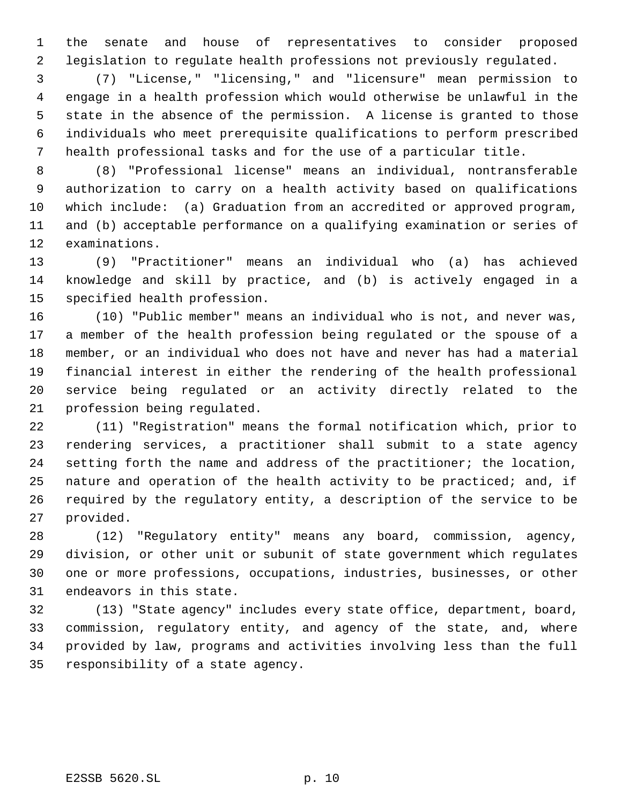the senate and house of representatives to consider proposed legislation to regulate health professions not previously regulated.

 (7) "License," "licensing," and "licensure" mean permission to engage in a health profession which would otherwise be unlawful in the state in the absence of the permission. A license is granted to those individuals who meet prerequisite qualifications to perform prescribed health professional tasks and for the use of a particular title.

 (8) "Professional license" means an individual, nontransferable authorization to carry on a health activity based on qualifications which include: (a) Graduation from an accredited or approved program, and (b) acceptable performance on a qualifying examination or series of examinations.

 (9) "Practitioner" means an individual who (a) has achieved knowledge and skill by practice, and (b) is actively engaged in a specified health profession.

 (10) "Public member" means an individual who is not, and never was, a member of the health profession being regulated or the spouse of a member, or an individual who does not have and never has had a material financial interest in either the rendering of the health professional service being regulated or an activity directly related to the profession being regulated.

 (11) "Registration" means the formal notification which, prior to rendering services, a practitioner shall submit to a state agency setting forth the name and address of the practitioner; the location, nature and operation of the health activity to be practiced; and, if required by the regulatory entity, a description of the service to be provided.

 (12) "Regulatory entity" means any board, commission, agency, division, or other unit or subunit of state government which regulates one or more professions, occupations, industries, businesses, or other endeavors in this state.

 (13) "State agency" includes every state office, department, board, commission, regulatory entity, and agency of the state, and, where provided by law, programs and activities involving less than the full responsibility of a state agency.